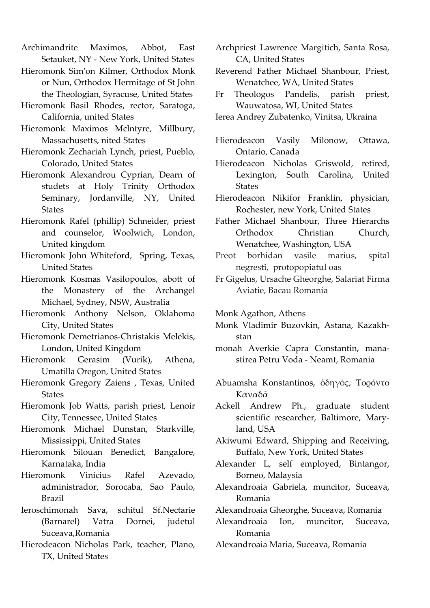Archimandrite Maximos, Abbot, East Setauket, NY - New York, United States

- Hieromonk Sim'on Kilmer, Orthodox Monk or Nun, Orthodox Hermitage of St John the Theologian, Syracuse, United States
- Hieromonk Basil Rhodes, rector, Saratoga, California, united States
- Hieromonk Maximos Mclntyre, Millbury, Massachusetts, nited States
- Hieromonk Zechariah Lynch, priest, Pueblo, Colorado, United States
- Hieromonk Alexandrou Cyprian, Dearn of studets at Holy Trinity Orthodox Seminary, Jordanville, NY, United **States**
- Hieromonk Rafel (phillip) Schneider, priest and counselor, Woolwich, London, United kingdom
- Hieromonk John Whiteford, Spring, Texas, United States
- Hieromonk Kosmas Vasilopoulos, abott of the Monastery of the Archangel Michael, Sydney, NSW, Australia
- Hieromonk Anthony Nelson, Oklahoma City, United States
- Hieromonk Demetrianos-Christakis Melekis, London, United Kingdom
- Hieromonk Gerasim (Vurik), Athena, Umatilla Oregon, United States
- Hieromonk Gregory Zaiens , Texas, United **States**
- Hieromonk Job Watts, parish priest, Lenoir City, Tennessee, United States
- Hieromonk Michael Dunstan, Starkville, Mississippi, United States
- Hieromonk Silouan Benedict, Bangalore, Karnataka, India
- Hieromonk Vinicius Rafel Azevado, administrador, Sorocaba, Sao Paulo, Brazil
- Ieroschimonah Sava, schitul Sf.Nectarie (Barnarel) Vatra Dornei, judetul Suceava,Romania
- Hierodeacon Nicholas Park, teacher, Plano, TX, United States
- Archpriest Lawrence Margitich, Santa Rosa, CA, United States
- Reverend Father Michael Shanbour, Priest, Wenatchee, WA, United States
- Fr Theologos Pandelis, parish priest, Wauwatosa, WI, United States
- Ierea Andrey Zubatenko, Vinitsa, Ukraina
- Hierodeacon Vasily Milonow, Ottawa, Ontario, Canada
- Hierodeacon Nicholas Griswold, retired, Lexington, South Carolina, United States
- Hierodeacon Nikifor Franklin, physician, Rochester, new York, United States
- Father Michael Shanbour, Three Hierarchs Orthodox Christian Church, Wenatchee, Washington, USA
- Preot borhidan vasile marius, spital negresti, protopopiatul oas
- Fr Gigelus, Ursache Gheorghe, Salariat Firma Aviatie, Bacau Romania
- Monk Agathon, Athens
- Monk Vladimir Buzovkin, Astana, Kazakhstan
- monah Averkie Capra Constantin, manastirea Petru Voda - Neamt, Romania
- Abuamsha Konstantinos, όδηγός, Τορόντο Καναδᾶ
- Ackell Andrew Ph., graduate student scientific researcher, Baltimore, Maryland, USA
- Akiwumi Edward, Shipping and Receiving, Buffalo, New York, United States
- Alexander L, self employed, Bintangor, Borneo, Malaysia
- Alexandroaia Gabriela, muncitor, Suceava, Romania
- Alexandroaia Gheorghe, Suceava, Romania
- Alexandroaia Ion, muncitor, Suceava, Romania
- Alexandroaia Maria, Suceava, Romania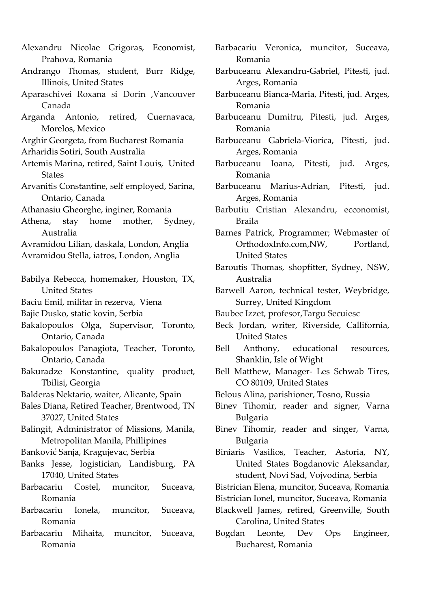- Alexandru Nicolae Grigoras, Economist, Prahova, Romania
- Andrango Thomas, student, Burr Ridge, Illinois, United States
- Aparaschivei Roxana si Dorin ,Vancouver Canada
- Arganda Antonio, retired, Cuernavaca, Morelos, Mexico
- Arghir Georgeta, from Bucharest Romania
- Arharidis Sotiri, South Australia
- Artemis Marina, retired, Saint Louis, United States
- Arvanitis Constantine, self employed, Sarina, Ontario, Canada
- Athanasiu Gheorghe, inginer, Romania
- Athena, stay home mother, Sydney, Australia
- Avramidou Lilian, daskala, London, Anglia
- Avramidou Stella, iatros, London, Anglia
- Babilya Rebecca, homemaker, Houston, TX, United States
- Baciu Emil, militar in rezerva, Viena
- Bajic Dusko, static kovin, Serbia
- Bakalopoulos Olga, Supervisor, Toronto, Ontario, Canada
- Bakalopoulos Panagiota, Teacher, Toronto, Ontario, Canada
- Bakuradze Konstantine, quality product, Tbilisi, Georgia
- Balderas Nektario, waiter, Alicante, Spain
- Bales Diana, Retired Teacher, Brentwood, TN 37027, United States
- Balingit, Administrator of Missions, Manila, Metropolitan Manila, Phillipines
- Banković Sanja, Kragujevac, Serbia
- Banks Jesse, logistician, Landisburg, PA 17040, United States
- Barbacariu Costel, muncitor, Suceava, Romania
- Barbacariu Ionela, muncitor, Suceava, Romania
- Barbacariu Mihaita, muncitor, Suceava, Romania
- Barbacariu Veronica, muncitor, Suceava, Romania
- Barbuceanu Alexandru-Gabriel, Pitesti, jud. Arges, Romania
- Barbuceanu Bianca-Maria, Pitesti, jud. Arges, Romania
- Barbuceanu Dumitru, Pitesti, jud. Arges, Romania
- Barbuceanu Gabriela-Viorica, Pitesti, jud. Arges, Romania
- Barbuceanu Ioana, Pitesti, jud. Arges, Romania
- Barbuceanu Marius-Adrian, Pitesti, jud. Arges, Romania
- Barbutiu Cristian Alexandru, ecconomist, Braila
- Barnes Patrick, Programmer; Webmaster of OrthodoxInfo.com, NW, Portland, United States
- Baroutis Thomas, shopfitter, Sydney, NSW, Australia
- Barwell Aaron, technical tester, Weybridge, Surrey, United Kingdom
- Baubec Izzet, profesor,Targu Secuiesc
- Beck Jordan, writer, Riverside, Callifornia, United States
- Bell Anthony, educational resources, Shanklin, Isle of Wight
- Bell Matthew, Manager- Les Schwab Tires, CO 80109, United States
- Belous Alina, parishioner, Tosno, Russia
- Binev Tihomir, reader and signer, Varna Bulgaria
- Binev Tihomir, reader and singer, Varna, Bulgaria
- Biniaris Vasilios, Teacher, Astoria, NY, United States Bogdanovic Aleksandar, student, Novi Sad, Vojvodina, Serbia
- Bistrician Elena, muncitor, Suceava, Romania
- Bistrician Ionel, muncitor, Suceava, Romania
- Blackwell James, retired, Greenville, South Carolina, United States
- Bogdan Leonte, Dev Ops Engineer, Bucharest, Romania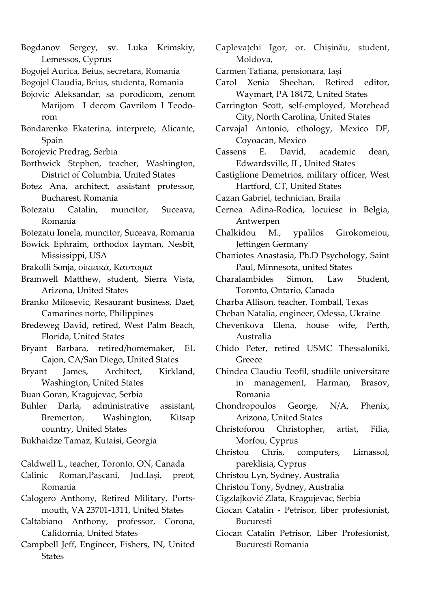- Bogdanov Sergey, sv. Luka Krimskiy, Lemessos, Cyprus
- Bogojel Aurica, Beius, secretara, Romania
- Bogojel Claudia, Beius, studenta, Romania
- Bojovic Aleksandar, sa porodicom, zenom Marijom I decom Gavrilom I Teodorom
- Bondarenko Ekaterina, interprete, Alicante, Spain
- Borojevic Predrag, Serbia
- Borthwick Stephen, teacher, Washington, District of Columbia, United States
- Botez Ana, architect, assistant professor, Bucharest, Romania
- Botezatu Catalin, muncitor, Suceava, Romania

Botezatu Ionela, muncitor, Suceava, Romania

- Bowick Ephraim, orthodox layman, Nesbit, Mississippi, USA
- Brakolli Sonja, οικιακά, Καστοριά
- Bramwell Matthew, student, Sierra Vista, Arizona, United States
- Branko Milosevic, Resaurant business, Daet, Camarines norte, Philippines
- Bredeweg David, retired, West Palm Beach, Florida, United States
- Bryant Barbara, retired/homemaker, EL Cajon, CA/San Diego, United States
- Bryant James, Architect, Kirkland, Washington, United States
- Buan Goran, Kragujevac, Serbia
- Buhler Darla, administrative assistant, Bremerton, Washington, Kitsap country, United States

Bukhaidze Tamaz, Kutaisi, Georgia

- Caldwell L., teacher, Toronto, ON, Canada
- Calinic Roman,Pașcani, Jud.Iași, preot, Romania
- Calogero Anthony, Retired Military, Portsmouth, VA 23701-1311, United States
- Caltabiano Anthony, professor, Corona, Calidornia, United States
- Campbell Jeff, Engineer, Fishers, IN, United **States**
- Caplevațchi Igor, or. Chișinău, student, Moldova,
- Carmen Tatiana, pensionara, Iași
- Carol Xenia Sheehan, Retired editor, Waymart, PA 18472, United States
- Carrington Scott, self-employed, Morehead City, North Carolina, United States
- Carvajal Antonio, ethology, Mexico DF, Coyoacan, Mexico
- Cassens E. David, academic dean, Edwardsville, IL, United States
- Castiglione Demetrios, military officer, West Hartford, CT, United States
- Cazan Gabriel, technician, Braila
- Cernea Adina-Rodica, locuiesc in Belgia, Antwerpen
- Chalkidou M., ypalilos Girokomeiou, Jettingen Germany
- Chaniotes Anastasia, Ph.D Psychology, Saint Paul, Minnesota, united States
- Charalambides Simon, Law Student, Toronto, Ontario, Canada
- Charba Allison, teacher, Tomball, Texas
- Cheban Natalia, engineer, Odessa, Ukraine
- Chevenkova Elena, house wife, Perth, Australia
- Chido Peter, retired USMC Thessaloniki, Greece
- Chindea Claudiu Teofil, studiile universitare in management, Harman, Brasov, Romania
- Chondropoulos George, N/A, Phenix, Arizona, United States
- Christoforou Christopher, artist, Filia, Morfou, Cyprus
- Christou Chris, computers, Limassol, pareklisia, Cyprus
- Christou Lyn, Sydney, Australia
- Christou Tony, Sydney, Australia
- Cigzlajković Zlata, Kragujevac, Serbia
- Ciocan Catalin - Petrisor, liber profesionist, Bucuresti
- Ciocan Catalin Petrisor, Liber Profesionist, Bucuresti Romania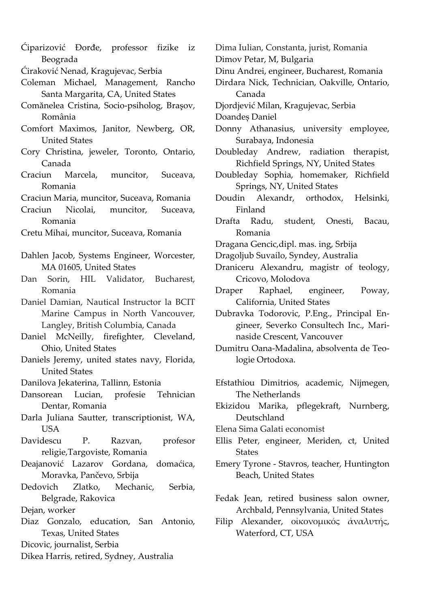- Ćiparizović Đorđe, professor fizike iz Beograda
- Ćiraković Nenad, Kragujevac, Serbia
- Coleman Michael, Management, Rancho Santa Margarita, CA, United States
- Comănelea Cristina, Socio-psiholog, Brașov, România
- Comfort Maximos, Janitor, Newberg, OR, United States
- Cory Christina, jeweler, Toronto, Ontario, Canada
- Craciun Marcela, muncitor, Suceava, Romania
- Craciun Maria, muncitor, Suceava, Romania
- Craciun Nicolai, muncitor, Suceava, Romania
- Cretu Mihai, muncitor, Suceava, Romania
- Dahlen Jacob, Systems Engineer, Worcester, MA 01605, United States
- Dan Sorin, HIL Validator, Bucharest, Romania
- Daniel Damian, Nautical Instructor la BCIT Marine Campus in North Vancouver, Langley, British Columbia, Canada
- Daniel McNeilly, firefighter, Cleveland, Ohio, United States
- Daniels Jeremy, united states navy, Florida, United States
- Danilova Jekaterina, Tallinn, Estonia
- Dansorean Lucian, profesie Tehnician Dentar, Romania
- Darla Juliana Sautter, transcriptionist, WA, USA
- Davidescu P. Razvan, profesor religie,Targoviste, Romania
- Deajanović Lazarov Gordana, domaćica, Moravka, Pančevo, Srbija
- Dedovich Zlatko, Mechanic, Serbia, Belgrade, Rakovica
- Dejan, worker
- Diaz Gonzalo, education, San Antonio, Texas, United States
- Dicovic, journalist, Serbia
- Dikea Harris, retired, Sydney, Australia
- Dima Iulian, Constanta, jurist, Romania
- Dimov Petar, M, Bulgaria
- Dinu Andrei, engineer, Bucharest, Romania
- Dirdara Nick, Technician, Oakville, Ontario, Canada
- Djordjević Milan, Kragujevac, Serbia
- Doandeș Daniel
- Donny Athanasius, university employee, Surabaya, Indonesia
- Doubleday Andrew, radiation therapist, Richfield Springs, NY, United States
- Doubleday Sophia, homemaker, Richfield Springs, NY, United States
- Doudin Alexandr, orthodox, Helsinki, Finland
- Drafta Radu, student, Onesti, Bacau, Romania
- Dragana Gencic,dipl. mas. ing, Srbija
- Dragoljub Suvailo, Syndey, Australia
- Draniceru Alexandru, magistr of teology, Cricovo, Molodova
- Draper Raphael, engineer, Poway, California, United States
- Dubravka Todorovic, P.Eng., Principal Engineer, Severko Consultech Inc., Marinaside Crescent, Vancouver
- Dumitru Oana-Madalina, absolventa de Teologie Ortodoxa.
- Efstathiou Dimitrios, academic, Nijmegen, The Netherlands
- Ekizidou Marika, pflegekraft, Nurnberg, Deutschland
- Elena Sima Galati economist
- Ellis Peter, engineer, Meriden, ct, United States
- Emery Tyrone Stavros, teacher, Huntington Beach, United States
- Fedak Jean, retired business salon owner, Archbald, Pennsylvania, United States
- Filip Alexander, οἰκονομικός αναλυτής, Waterford, CT, USA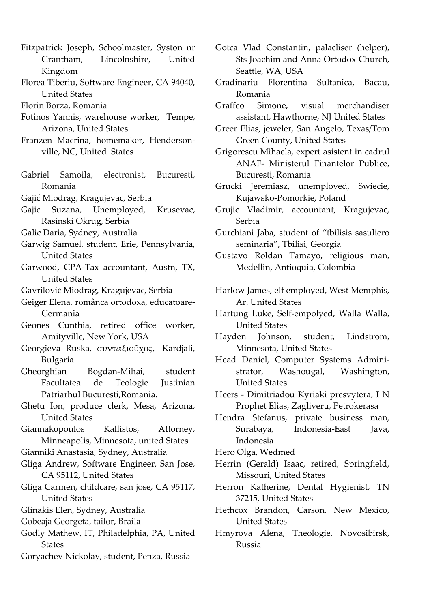- Fitzpatrick Joseph, Schoolmaster, Syston nr Grantham, Lincolnshire, United Kingdom
- Florea Tiberiu, Software Engineer, CA 94040, United States
- Florin Borza, Romania
- Fotinos Yannis, warehouse worker, Tempe, Arizona, United States
- Franzen Macrina, homemaker, Hendersonville, NC, United States
- Gabriel Samoila, electronist, Bucuresti, Romania
- Gajić Miodrag, Kragujevac, Serbia
- Gajic Suzana, Unemployed, Krusevac, Rasinski Okrug, Serbia
- Galic Daria, Sydney, Australia
- Garwig Samuel, student, Erie, Pennsylvania, United States
- Garwood, CPA-Tax accountant, Austn, TX, United States
- Gavrilović Miodrag, Kragujevac, Serbia
- Geiger Elena, românca ortodoxa, educatoare-Germania
- Geones Cunthia, retired office worker, Amityville, New York, USA
- Georgieva Ruska, συνταξιοῦχος, Kardjali, Bulgaria
- Gheorghian Bogdan-Mihai, student Facultatea de Teologie Justinian Patriarhul Bucuresti,Romania.
- Ghetu Ion, produce clerk, Mesa, Arizona, United States
- Giannakopoulos Kallistos, Attorney, Minneapolis, Minnesota, united States
- Gianniki Anastasia, Sydney, Australia
- Gliga Andrew, Software Engineer, San Jose, CA 95112, United States
- Gliga Carmen, childcare, san jose, CA 95117, United States
- Glinakis Elen, Sydney, Australia
- Gobeaja Georgeta, tailor, Braila
- Godly Mathew, IT, Philadelphia, PA, United States
- Goryachev Nickolay, student, Penza, Russia
- Gotca Vlad Constantin, palacliser (helper), Sts Joachim and Anna Ortodox Church, Seattle, WA, USA
- Gradinariu Florentina Sultanica, Bacau, Romania
- Graffeo Simone, visual merchandiser assistant, Hawthorne, NJ United States
- Greer Elias, jeweler, San Angelo, Texas/Tom Green County, United States
- Grigorescu Mihaela, expert asistent in cadrul ANAF- Ministerul Finantelor Publice, Bucuresti, Romania
- Grucki Jeremiasz, unemployed, Swiecie, Kujawsko-Pomorkie, Poland
- Grujic Vladimir, accountant, Kragujevac, Serbia
- Gurchiani Jaba, student of "tbilisis sasuliero seminaria", Tbilisi, Georgia
- Gustavo Roldan Tamayo, religious man, Medellin, Antioquia, Colombia
- Harlow James, elf employed, West Memphis, Ar. United States
- Hartung Luke, Self-empolyed, Walla Walla, United States
- Hayden Johnson, student, Lindstrom, Minnesota, United States
- Head Daniel, Computer Systems Administrator, Washougal, Washington, United States
- Heers Dimitriadou Kyriaki presvytera, I N Prophet Elias, Zagliveru, Petrokerasa
- Hendra Stefanus, private business man, Surabaya, Indonesia-East Java, Indonesia
- Hero Olga, Wedmed
- Herrin (Gerald) Isaac, retired, Springfield, Missouri, United States
- Herron Katherine, Dental Hygienist, TN 37215, United States
- Hethcox Brandon, Carson, New Mexico, United States
- Hmyrova Alena, Theologie, Novosibirsk, Russia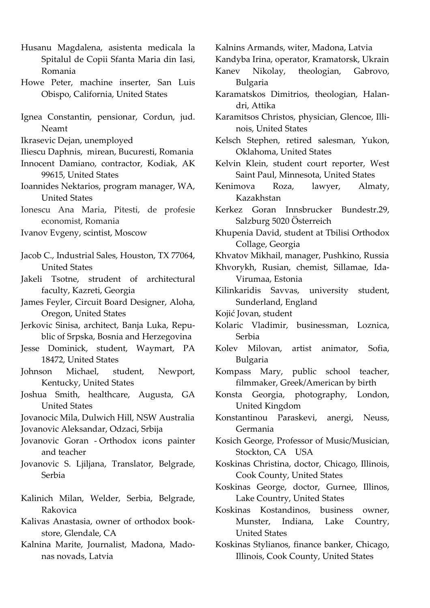- Husanu Magdalena, asistenta medicala la Spitalul de Copii Sfanta Maria din Iasi, Romania
- Howe Peter, machine inserter, San Luis Obispo, California, United States
- Ignea Constantin, pensionar, Cordun, jud. Neamt
- Ikrasevic Dejan, unemployed
- Iliescu Daphnis, mirean, Bucuresti, Romania
- Innocent Damiano, contractor, Kodiak, AK 99615, United States
- Ioannides Nektarios, program manager, WA, United States
- Ionescu Ana Maria, Pitesti, de profesie economist, Romania

Ivanov Evgeny, scintist, Moscow

- Jacob C., Industrial Sales, Houston, TX 77064, United States
- Jakeli Tsotne, strudent of architectural faculty, Kazreti, Georgia
- James Feyler, Circuit Board Designer, Aloha, Oregon, United States
- Jerkovic Sinisa, architect, Banja Luka, Republic of Srpska, Bosnia and Herzegovina
- Jesse Dominick, student, Waymart, PA 18472, United States
- Johnson Michael, student, Newport, Kentucky, United States
- Joshua Smith, healthcare, Augusta, GA United States
- Jovanocic Mila, Dulwich Hill, NSW Australia
- Jovanovic Aleksandar, Odzaci, Srbija
- Jovanovic Goran Orthodox icons painter and teacher
- Jovanovic S. Ljiljana, Translator, Belgrade, Serbia
- Kalinich Milan, Welder, Serbia, Belgrade, Rakovica
- Kalivas Anastasia, owner of orthodox bookstore, Glendale, CA
- Kalnina Marite, Journalist, Madona, Madonas novads, Latvia

Kalnins Armands, witer, Madona, Latvia

- Kandyba Irina, operator, Kramatorsk, Ukrain
- Kanev Nikolay, theologian, Gabrovo, Bulgaria
- Karamatskos Dimitrios, theologian, Halandri, Attika
- Karamitsos Christos, physician, Glencoe, Illi-‐‑ nois, United States
- Kelsch Stephen, retired salesman, Yukon, Oklahoma, United States
- Kelvin Klein, student court reporter, West Saint Paul, Minnesota, United States
- Kenimova Roza, lawyer, Almaty, Kazakhstan
- Kerkez Goran Innsbrucker Bundestr.29, Salzburg 5020 Österreich
- Khupenia David, student at Tbilisi Orthodox Collage, Georgia
- Khvatov Mikhail, manager, Pushkino, Russia
- Khvorykh, Rusian, chemist, Sillamae, Ida-Virumaa, Estonia
- Kilinkaridis Savvas, university student, Sunderland, England
- Kojić Jovan, student
- Kolaric Vladimir, businessman, Loznica, Serbia
- Kolev Milovan, artist animator, Sofia, Bulgaria
- Kompass Mary, public school teacher, filmmaker, Greek/American by birth
- Konsta Georgia, photography, London, United Kingdom
- Konstantinou Paraskevi, anergi, Neuss, Germania
- Kosich George, Professor of Music/Musician, Stockton, CA USA
- Koskinas Christina, doctor, Chicago, Illinois, Cook County, United States
- Koskinas George, doctor, Gurnee, Illinos, Lake Country, United States
- Koskinas Kostandinos, business owner, Munster, Indiana, Lake Country, United States
- Koskinas Stylianos, finance banker, Chicago, Illinois, Cook County, United States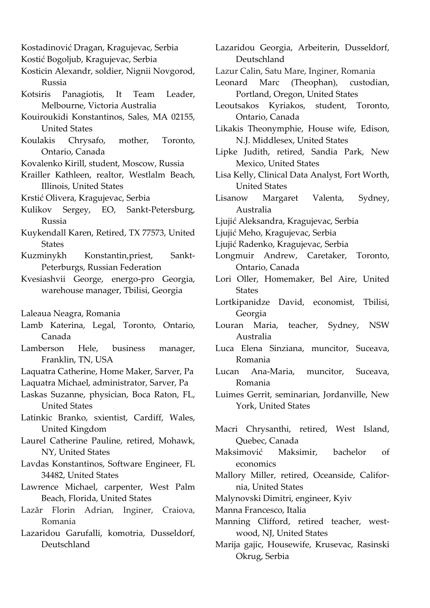- Kostadinović Dragan, Kragujevac, Serbia
- Kostić Bogoljub, Kragujevac, Serbia
- Kosticin Alexandr, soldier, Nignii Novgorod, Russia
- Kotsiris Panagiotis, It Team Leader, Melbourne, Victoria Australia
- Kouiroukidi Konstantinos, Sales, MA 02155, United States
- Koulakis Chrysafo, mother, Toronto, Ontario, Canada
- Kovalenko Kirill, student, Moscow, Russia
- Krailler Kathleen, realtor, Westlalm Beach, Illinois, United States
- Krstić Olivera, Kragujevac, Serbia
- Kulikov Sergey, EO, Sankt-Petersburg, Russia
- Kuykendall Karen, Retired, TX 77573, United **States**
- Kuzminykh Konstantin, priest, Sankt-Peterburgs, Russian Federation
- Kvesiashvii George, energo-pro Georgia, warehouse manager, Tbilisi, Georgia
- Laleaua Neagra, Romania
- Lamb Katerina, Legal, Toronto, Ontario, Canada
- Lamberson Hele, business manager, Franklin, TN, USA
- Laquatra Catherine, Home Maker, Sarver, Pa
- Laquatra Michael, administrator, Sarver, Pa
- Laskas Suzanne, physician, Boca Raton, FL, United States
- Latinkic Branko, sxientist, Cardiff, Wales, United Kingdom
- Laurel Catherine Pauline, retired, Mohawk, NY, United States
- Lavdas Konstantinos, Software Engineer, FL 34482, United States
- Lawrence Michael, carpenter, West Palm Beach, Florida, United States
- Lazăr Florin Adrian, Inginer, Craiova, Romania
- Lazaridou Garufalli, komotria, Dusseldorf, Deutschland
- Lazaridou Georgia, Arbeiterin, Dusseldorf, Deutschland
- Lazur Calin, Satu Mare, Inginer, Romania
- Leonard Marc (Theophan), custodian, Portland, Oregon, United States
- Leoutsakos Kyriakos, student, Toronto, Ontario, Canada
- Likakis Theonymphie, House wife, Edison, N.J. Middlesex, United States
- Lipke Judith, retired, Sandia Park, New Mexico, United States
- Lisa Kelly, Clinical Data Analyst, Fort Worth, United States
- Lisanow Margaret Valenta, Sydney, Australia
- Ljujić Aleksandra, Kragujevac, Serbia
- Ljujić Meho, Kragujevac, Serbia
- Ljujić Radenko, Kragujevac, Serbia
- Longmuir Andrew, Caretaker, Toronto, Ontario, Canada
- Lori Oller, Homemaker, Bel Aire, United **States**
- Lortkipanidze David, economist, Tbilisi, Georgia
- Louran Maria, teacher, Sydney, NSW Australia
- Luca Elena Sinziana, muncitor, Suceava, Romania
- Lucan Ana-Maria, muncitor, Suceava, Romania
- Luimes Gerrit, seminarian, Jordanville, New York, United States
- Macri Chrysanthi, retired, West Island, Quebec, Canada
- Maksimović Maksimir, bachelor of economics
- Mallory Miller, retired, Oceanside, California, United States
- Malynovski Dimitri, engineer, Kyiv
- Manna Francesco, Italia
- Manning Clifford, retired teacher, westwood, NJ, United States
- Marija gajic, Housewife, Krusevac, Rasinski Okrug, Serbia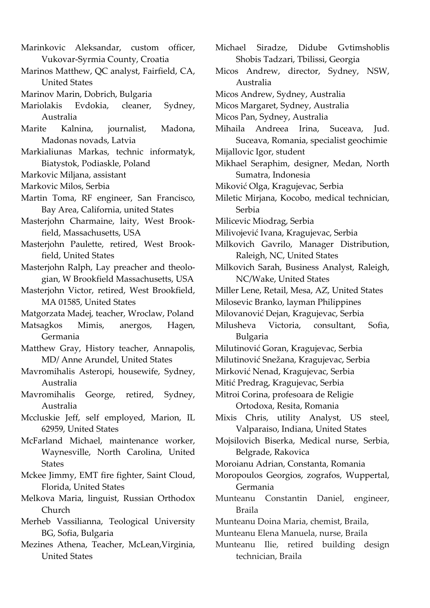- Marinkovic Aleksandar, custom officer, Vukovar-Syrmia County, Croatia
- Marinos Matthew, QC analyst, Fairfield, CA, United States
- Marinov Marin, Dobrich, Bulgaria
- Mariolakis Evdokia, cleaner, Sydney, Australia
- Marite Kalnina, journalist, Madona, Madonas novads, Latvia
- Markialiunas Markas, technic informatyk, Biatystok, Podiaskle, Poland
- Markovic Miljana, assistant
- Markovic Milos, Serbia
- Martin Toma, RF engineer, San Francisco, Bay Area, California, united States
- Masterjohn Charmaine, laity, West Brookfield, Massachusetts, USA
- Masterjohn Paulette, retired, West Brookfield, United States
- Masterjohn Ralph, Lay preacher and theologian, W Brookfield Massachusetts, USA
- Masterjohn Victor, retired, West Brookfield, MA 01585, United States
- Matgorzata Madej, teacher, Wroclaw, Poland
- Matsagkos Mimis, anergos, Hagen, Germania
- Matthew Gray, History teacher, Annapolis, MD/ Anne Arundel, United States
- Mavromihalis Asteropi, housewife, Sydney, Australia
- Mavromihalis George, retired, Sydney, Australia
- Mccluskie Jeff, self employed, Marion, IL 62959, United States
- McFarland Michael, maintenance worker, Waynesville, North Carolina, United **States**
- Mckee Jimmy, EMT fire fighter, Saint Cloud, Florida, United States
- Melkova Maria, linguist, Russian Orthodox Church
- Merheb Vassilianna, Teological University BG, Sofia, Bulgaria
- Mezines Athena, Teacher, McLean,Virginia, United States
- Michael Siradze, Didube Gvtimshoblis Shobis Tadzari, Tbilissi, Georgia
- Micos Andrew, director, Sydney, NSW, Australia
- Micos Andrew, Sydney, Australia
- Micos Margaret, Sydney, Australia
- Micos Pan, Sydney, Australia
- Mihaila Andreea Irina, Suceava, Jud. Suceava, Romania, specialist geochimie
- Mijallovic Igor, student
- Mikhael Seraphim, designer, Medan, North Sumatra, Indonesia
- Miković Olga, Kragujevac, Serbia
- Miletic Mirjana, Kocobo, medical technician, Serbia
- Milicevic Miodrag, Serbia
- Milivojević Ivana, Kragujevac, Serbia
- Milkovich Gavrilo, Manager Distribution, Raleigh, NC, United States
- Milkovich Sarah, Business Analyst, Raleigh, NC/Wake, United States
- Miller Lene, Retail, Mesa, AZ, United States
- Milosevic Branko, layman Philippines
- Milovanović Dejan, Kragujevac, Serbia
- Milusheva Victoria, consultant, Sofia, Bulgaria
- Milutinović Goran, Kragujevac, Serbia
- Milutinović Snežana, Kragujevac, Serbia
- Mirković Nenad, Kragujevac, Serbia
- Mitić Predrag, Kragujevac, Serbia
- Mitroi Corina, profesoara de Religie Ortodoxa, Resita, Romania
- Mixis Chris, utility Analyst, US steel, Valparaiso, Indiana, United States
- Mojsilovich Biserka, Medical nurse, Serbia, Belgrade, Rakovica
- Moroianu Adrian, Constanta, Romania
- Moropoulos Georgios, zografos, Wuppertal, Germania
- Munteanu Constantin Daniel, engineer, Braila
- Munteanu Doina Maria, chemist, Braila,
- Munteanu Elena Manuela, nurse, Braila
- Munteanu Ilie, retired building design technician, Braila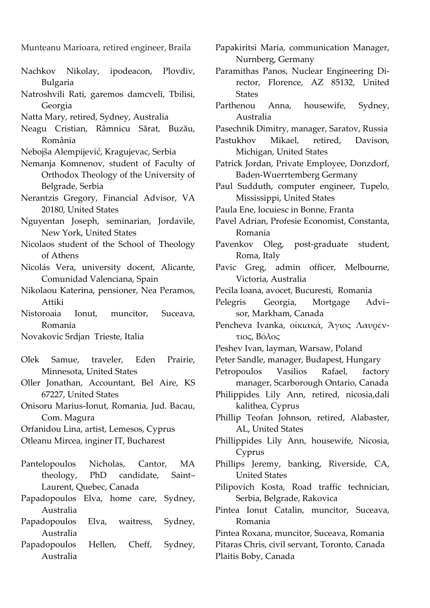Munteanu Marioara, retired engineer, Braila

- Nachkov Nikolay, ipodeacon, Plovdiv, Bulgaria
- Natroshvili Rati, garemos damcveli, Tbilisi, Georgia
- Natta Mary, retired, Sydney, Australia
- Neagu Cristian, Râmnicu Sărat, Buzău, România
- Nebojša Alempijević, Kragujevac, Serbia
- Nemanja Komnenov, student of Faculty of Orthodox Theology of the University of Belgrade, Serbia
- Nerantzis Gregory, Financial Advisor, VA 20180, United States
- Nguyentan Joseph, seminarian, Jordavile, New York, United States
- Nicolaos student of the School of Theology of Athens
- Nicolás Vera, university docent, Alicante, Comunidad Valenciana, Spain
- Nikolaou Katerina, pensioner, Nea Peramos, Attiki
- Nistoroaia Ionut, muncitor, Suceava, Romania

Novakovic Srdjan Trieste, Italia

- Olek Samue, traveler, Eden Prairie, Minnesota, United States
- Oller Jonathan, Accountant, Bel Aire, KS 67227, United States
- Onisoru Marius-Ionut, Romania, Jud. Bacau, Com. Magura

Orfanidou Lina, artist, Lemesos, Cyprus

- Otleanu Mircea, inginer IT, Bucharest
- Pantelopoulos Nicholas, Cantor, MA theology, PhD candidate, Saint– Laurent, Quebec, Canada
- Papadopoulos Elva, home care, Sydney, Australia
- Papadopoulos Elva, waitress, Sydney, Australia
- Papadopoulos Hellen, Cheff, Sydney, Australia
- Papakiritsi Maria, communication Manager, Nurnberg, Germany
- Paramithas Panos, Nuclear Engineering Director, Florence, AZ 85132, United **States**
- Parthenou Anna, housewife, Sydney, Australia
- Pasechnik Dimitry, manager, Saratov, Russia
- Pastukhov Mikael, retired, Davison, Michigan, United States
- Patrick Jordan, Private Employee, Donzdorf, Baden-Wuerrtemberg Germany
- Paul Sudduth, computer engineer, Tupelo, Mississippi, United States
- Paula Ene, locuiesc in Bonne, Franta
- Pavel Adrian, Profesie Economist, Constanta, Romania
- Pavenkov Oleg, post-graduate student, Roma, Italy
- Pavic Greg, admin officer, Melbourne, Victoria, Australia
- Pecila Ioana, avocet, Bucuresti, Romania
- Pelegris Georgia, Mortgage Advi– sor, Markham, Canada
- Pencheva Ivanka, οἰκιακά, Άγιος Λαυρέντιος, Βόόλος
- Peshev Ivan, layman, Warsaw, Poland
- Peter Sandle, manager, Budapest, Hungary
- Petropoulos Vasilios Rafael, factory manager, Scarborough Ontario, Canada
- Philippides Lily Ann, retired, nicosia,dali kalithea, Cyprus
- Phillip Teofan Johnson, retired, Alabaster, AL, United States
- Phillippides Lily Ann, housewife, Nicosia, Cyprus
- Phillips Jeremy, banking, Riverside, CA, United States

Pilipovich Kosta, Road traffic technician, Serbia, Belgrade, Rakovica

Pintea Ionut Catalin, muncitor, Suceava, Romania

Pintea Roxana, muncitor, Suceava, Romania

Pitaras Chris, civil servant, Toronto, Canada Plaitis Boby, Canada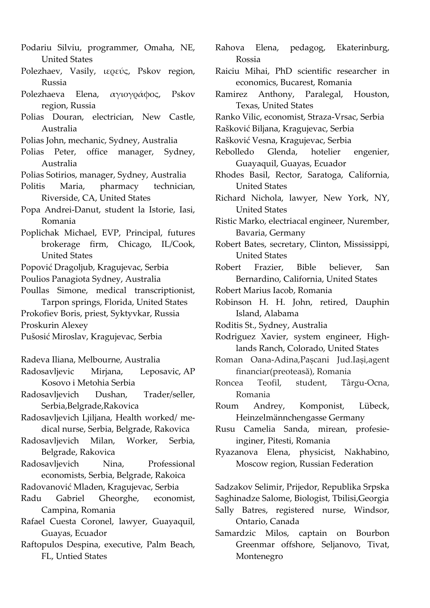- Podariu Silviu, programmer, Omaha, NE, United States
- Polezhaev, Vasily, ιερεύς, Pskov region, Russia
- Polezhaeva Elena, αγιογράφος, Pskov region, Russia
- Polias Douran, electrician, New Castle, Australia
- Polias John, mechanic, Sydney, Australia
- Polias Peter, office manager, Sydney, Australia
- Polias Sotirios, manager, Sydney, Australia
- Politis Maria, pharmacy technician, Riverside, CA, United States
- Popa Andrei-Danut, student la Istorie, Iasi, Romania
- Poplichak Michael, EVP, Principal, futures brokerage firm, Chicago, IL/Cook, United States
- Popović Dragoljub, Kragujevac, Serbia
- Poulios Panagiota Sydney, Australia
- Poullas Simone, medical transcriptionist, Tarpon springs, Florida, United States
- Prokofiev Boris, priest, Syktyvkar, Russia
- Proskurin Alexey
- Pušosić Miroslav, Kragujevac, Serbia
- Radeva Iliana, Melbourne, Australia
- Radosavljevic Mirjana, Leposavic, AP Kosovo i Metohia Serbia
- Radosavljevich Dushan, Trader/seller, Serbia,Belgrade,Rakovica
- Radosavljevich Ljiljana, Health worked/ medical nurse, Serbia, Belgrade, Rakovica
- Radosavljevich Milan, Worker, Serbia, Belgrade, Rakovica
- Radosavljevich Nina, Professional economists, Serbia, Belgrade, Rakoica
- Radovanović Mladen, Kragujevac, Serbia
- Radu Gabriel Gheorghe, economist, Campina, Romania
- Rafael Cuesta Coronel, lawyer, Guayaquil, Guayas, Ecuador
- Raftopulos Despina, executive, Palm Beach, FL, Untied States
- Rahova Elena, pedagog, Ekaterinburg, Rossia
- Raiciu Mihai, PhD scientific researcher in economics, Bucarest, Romania
- Ramirez Anthony, Paralegal, Houston, Texas, United States
- Ranko Vilic, economist, Straza-Vrsac, Serbia
- Rašković Biljana, Kragujevac, Serbia
- Rašković Vesna, Kragujevac, Serbia
- Rebolledo Glenda, hotelier engenier, Guayaquil, Guayas, Ecuador
- Rhodes Basil, Rector, Saratoga, California, United States
- Richard Nichola, lawyer, New York, NY, United States
- Ristic Marko, electriacal engineer, Nurember, Bavaria, Germany
- Robert Bates, secretary, Clinton, Mississippi, United States
- Robert Frazier, Bible believer, San Bernardino, California, United States
- Robert Marius Iacob, Romania
- Robinson H. H. John, retired, Dauphin Island, Alabama
- Roditis St., Sydney, Australia
- Rodriguez Xavier, system engineer, Highlands Ranch, Colorado, United States
- Roman Oana-Adina, Pașcani Jud.Iași, agent financiar(preoteasă), Romania
- Roncea Teofil, student, Târgu-Ocna, Romania
- Roum Andrey, Komponist, Lübeck, Heinzelmännchengasse Germany
- Rusu Camelia Sanda, mirean, profesieinginer, Pitesti, Romania
- Ryazanova Elena, physicist, Nakhabino, Moscow region, Russian Federation

Sadzakov Selimir, Prijedor, Republika Srpska

- Saghinadze Salome, Biologist, Tbilisi,Georgia Sally Batres, registered nurse, Windsor, Ontario, Canada
- Samardzic Milos, captain on Bourbon Greenmar offshore, Seljanovo, Tivat, Montenegro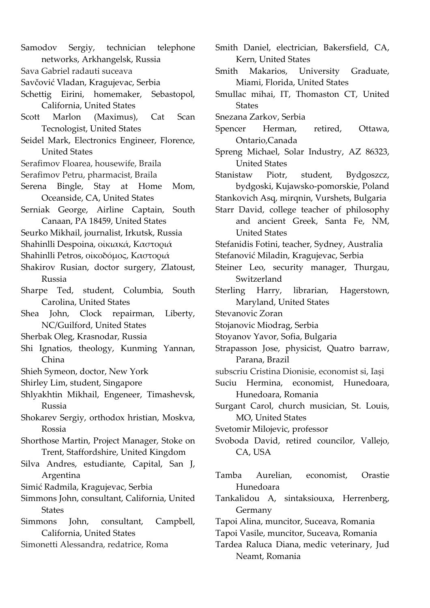- Samodov Sergiy, technician telephone networks, Arkhangelsk, Russia
- Sava Gabriel radauti suceava
- Savčović Vladan, Kragujevac, Serbia
- Schettig Eirini, homemaker, Sebastopol, California, United States
- Scott Marlon (Maximus), Cat Scan Tecnologist, United States
- Seidel Mark, Electronics Engineer, Florence, United States
- Serafimov Floarea, housewife, Braila
- Serafimov Petru, pharmacist, Braila
- Serena Bingle, Stay at Home Mom, Oceanside, CA, United States
- Serniak George, Airline Captain, South Canaan, PA 18459, United States
- Seurko Mikhail, journalist, Irkutsk, Russia
- Shahinlli Despoina, οἰκιακά, Καστοριά
- Shahinlli Petros, οἰκοδόμος, Καστοριά
- Shakirov Rusian, doctor surgery, Zlatoust, Russia
- Sharpe Ted, student, Columbia, South Carolina, United States
- Shea John, Clock repairman, Liberty, NC/Guilford, United States
- Sherbak Oleg, Krasnodar, Russia
- Shi Ignatios, theology, Kunming Yannan, China
- Shieh Symeon, doctor, New York
- Shirley Lim, student, Singapore
- Shlyakhtin Mikhail, Engeneer, Timashevsk, Russia
- Shokarev Sergiy, orthodox hristian, Moskva, Rossia
- Shorthose Martin, Project Manager, Stoke on Trent, Staffordshire, United Kingdom
- Silva Andres, estudiante, Capital, San J, Argentina
- Simić Radmila, Kragujevac, Serbia
- Simmons John, consultant, California, United States
- Simmons John, consultant, Campbell, California, United States
- Simonetti Alessandra, redatrice, Roma
- Smith Daniel, electrician, Bakersfield, CA, Kern, United States
- Smith Makarios, University Graduate, Miami, Florida, United States
- Smullac mihai, IT, Thomaston CT, United **States**
- Snezana Zarkov, Serbia
- Spencer Herman, retired, Ottawa, Ontario,Canada
- Spreng Michael, Solar Industry, AZ 86323, United States
- Stanistaw Piotr, student, Bydgoszcz, bydgoski, Kujawsko-pomorskie, Poland
- Stankovich Asq, mirqnin, Vurshets, Bulgaria
- Starr David, college teacher of philosophy and ancient Greek, Santa Fe, NM, United States
- Stefanidis Fotini, teacher, Sydney, Australia
- Stefanović Miladin, Kragujevac, Serbia
- Steiner Leo, security manager, Thurgau, Switzerland
- Sterling Harry, librarian, Hagerstown, Maryland, United States
- Stevanovic Zoran
- Stojanovic Miodrag, Serbia
- Stoyanov Yavor, Sofia, Bulgaria
- Strapasson Jose, physicist, Quatro barraw, Parana, Brazil
- subscriu Cristina Dionisie, economist si, Iași
- Suciu Hermina, economist, Hunedoara, Hunedoara, Romania
- Surgant Carol, church musician, St. Louis, MO, United States
- Svetomir Milojevic, professor
- Svoboda David, retired councilor, Vallejo, CA, USA
- Tamba Aurelian, economist, Orastie Hunedoara
- Tankalidou A, sintaksiouxa, Herrenberg, Germany
- Tapoi Alina, muncitor, Suceava, Romania
- Tapoi Vasile, muncitor, Suceava, Romania
- Tardea Raluca Diana, medic veterinary, Jud Neamt, Romania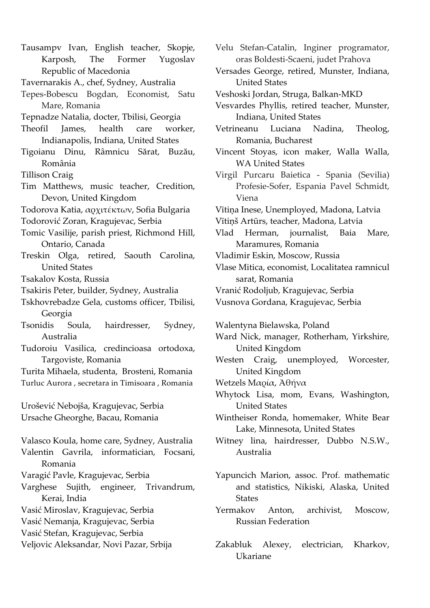- Tausampv Ivan, English teacher, Skopje, Karposh, The Former Yugoslav Republic of Macedonia
- Tavernarakis A., chef, Sydney, Australia
- Tepes-Bobescu Bogdan, Economist, Satu Mare, Romania
- Tepnadze Natalia, docter, Tbilisi, Georgia
- Theofil James, health care worker, Indianapolis, Indiana, United States
- Tigoianu Dinu, Râmnicu Sărat, Buzău, România
- Tillison Craig
- Tim Matthews, music teacher, Credition, Devon, United Kingdom
- Todorova Katia, αρχιτέέκτων, Sofia Bulgaria
- Todorović Zoran, Kragujevac, Serbia
- Tomic Vasilije, parish priest, Richmond Hill, Ontario, Canada
- Treskin Olga, retired, Saouth Carolina, United States
- Tsakalov Kosta, Russia
- Tsakiris Peter, builder, Sydney, Australia
- Tskhovrebadze Gela, customs officer, Tbilisi, Georgia
- Tsonidis Soula, hairdresser, Sydney, Australia
- Tudoroiu Vasilica, credincioasa ortodoxa, Targoviste, Romania
- Turita Mihaela, studenta, Brosteni, Romania Turluc Aurora , secretara in Timisoara , Romania

Urošević Nebojša, Kragujevac, Serbia Ursache Gheorghe, Bacau, Romania

Valasco Koula, home care, Sydney, Australia Valentin Gavrila, informatician, Focsani, Romania Varagić Pavle, Kragujevac, Serbia Varghese Sujith, engineer, Trivandrum,

- Kerai, India
- Vasić Miroslav, Kragujevac, Serbia
- Vasić Nemanja, Kragujevac, Serbia
- Vasić Stefan, Kragujevac, Serbia
- Veljovic Aleksandar, Novi Pazar, Srbija
- Velu Stefan-Catalin, Inginer programator, oras Boldesti-Scaeni, judet Prahova
- Versades George, retired, Munster, Indiana, United States
- Veshoski Jordan, Struga, Balkan-MKD
- Vesvardes Phyllis, retired teacher, Munster, Indiana, United States
- Vetrineanu Luciana Nadina, Theolog, Romania, Bucharest
- Vincent Stoyas, icon maker, Walla Walla, WA United States
- Virgil Purcaru Baietica - Spania (Sevilia) Profesie-Sofer, Espania Pavel Schmidt, Viena
- Vītiņa Inese, Unemployed, Madona, Latvia
- Vītiņš Artūrs, teacher, Madona, Latvia
- Vlad Herman, journalist, Baia Mare, Maramures, Romania
- Vladimir Eskin, Moscow, Russia
- Vlase Mitica, economist, Localitatea ramnicul sarat, Romania
- Vranić Rodoljub, Kragujevac, Serbia
- Vusnova Gordana, Kragujevac, Serbia

Walentyna Bielawska, Poland

- Ward Nick, manager, Rotherham, Yirkshire, United Kingdom
- Westen Craig, unemployed, Worcester, United Kingdom
- Wetzels Μαρία, Αθήνα
- Whytock Lisa, mom, Evans, Washington, United States
- Wintheiser Ronda, homemaker, White Bear Lake, Minnesota, United States
- Witney lina, hairdresser, Dubbo N.S.W., Australia
- Yapuncich Marion, assoc. Prof. mathematic and statistics, Nikiski, Alaska, United **States**
- Yermakov Anton, archivist, Moscow, Russian Federation
- Zakabluk Alexey, electrician, Kharkov, Ukariane